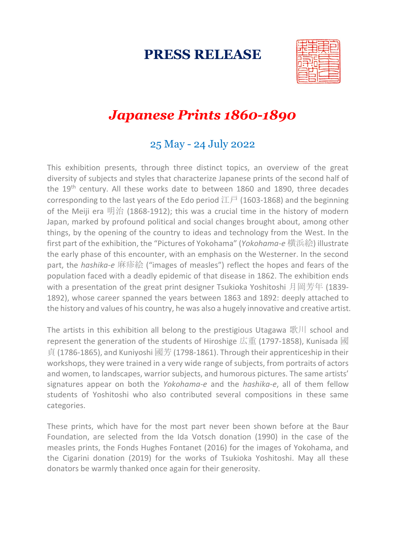# **PRESS RELEASE**



# *Japanese Prints 1860-1890*

### 25 May - 24 July 2022

This exhibition presents, through three distinct topics, an overview of the great diversity of subjects and styles that characterize Japanese prints of the second half of the 19<sup>th</sup> century. All these works date to between 1860 and 1890, three decades corresponding to the last years of the Edo period  $\mathcal{I}\bar{\mathcal{F}}$  (1603-1868) and the beginning of the Meiji era 明治 (1868-1912); this was a crucial time in the history of modern Japan, marked by profound political and social changes brought about, among other things, by the opening of the country to ideas and technology from the West. In the first part of the exhibition, the "Pictures of Yokohama" (*Yokohama-e* 横浜絵) illustrate the early phase of this encounter, with an emphasis on the Westerner. In the second part, the *hashika-e* 麻疹絵 ("images of measles") reflect the hopes and fears of the population faced with a deadly epidemic of that disease in 1862. The exhibition ends with a presentation of the great print designer Tsukioka Yoshitoshi 月岡芳年 (1839-1892), whose career spanned the years between 1863 and 1892: deeply attached to the history and values of his country, he was also a hugely innovative and creative artist.

The artists in this exhibition all belong to the prestigious Utagawa  $\mathbb{R}$  | school and represent the generation of the students of Hiroshige 広重 (1797-1858), Kunisada 國 貞 (1786-1865), and Kuniyoshi 國芳 (1798-1861). Through their apprenticeship in their workshops, they were trained in a very wide range of subjects, from portraits of actors and women, to landscapes, warrior subjects, and humorous pictures. The same artists' signatures appear on both the *Yokohama-e* and the *hashika-e*, all of them fellow students of Yoshitoshi who also contributed several compositions in these same categories.

These prints, which have for the most part never been shown before at the Baur Foundation, are selected from the Ida Votsch donation (1990) in the case of the measles prints, the Fonds Hughes Fontanet (2016) for the images of Yokohama, and the Cigarini donation (2019) for the works of Tsukioka Yoshitoshi. May all these donators be warmly thanked once again for their generosity.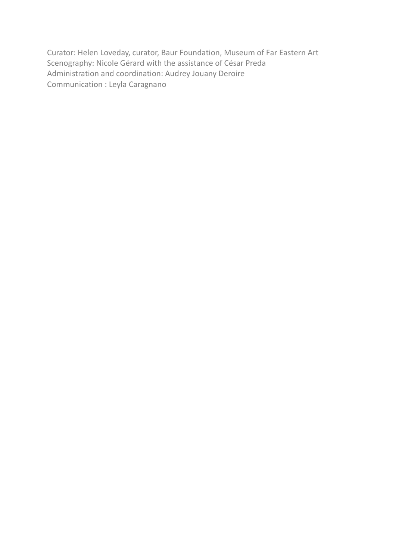Curator: Helen Loveday, curator, Baur Foundation, Museum of Far Eastern Art Scenography: Nicole Gérard with the assistance of César Preda Administration and coordination: Audrey Jouany Deroire Communication : Leyla Caragnano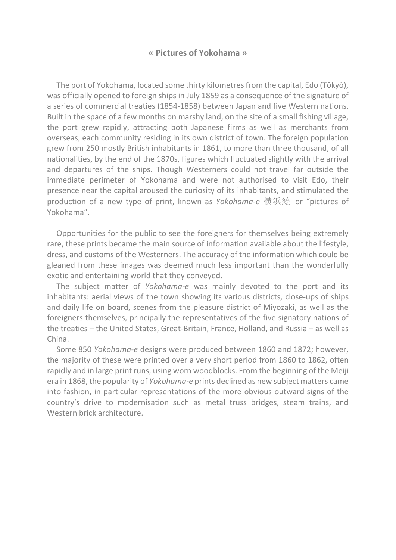#### **« Pictures of Yokohama »**

The port of Yokohama, located some thirty kilometres from the capital, Edo (Tôkyô), was officially opened to foreign ships in July 1859 as a consequence of the signature of a series of commercial treaties (1854-1858) between Japan and five Western nations. Built in the space of a few months on marshy land, on the site of a small fishing village, the port grew rapidly, attracting both Japanese firms as well as merchants from overseas, each community residing in its own district of town. The foreign population grew from 250 mostly British inhabitants in 1861, to more than three thousand, of all nationalities, by the end of the 1870s, figures which fluctuated slightly with the arrival and departures of the ships. Though Westerners could not travel far outside the immediate perimeter of Yokohama and were not authorised to visit Edo, their presence near the capital aroused the curiosity of its inhabitants, and stimulated the production of a new type of print, known as *Yokohama-e* 横浜絵 or "pictures of Yokohama".

Opportunities for the public to see the foreigners for themselves being extremely rare, these prints became the main source of information available about the lifestyle, dress, and customs of the Westerners. The accuracy of the information which could be gleaned from these images was deemed much less important than the wonderfully exotic and entertaining world that they conveyed.

The subject matter of *Yokohama-e* was mainly devoted to the port and its inhabitants: aerial views of the town showing its various districts, close-ups of ships and daily life on board, scenes from the pleasure district of Miyozaki, as well as the foreigners themselves, principally the representatives of the five signatory nations of the treaties – the United States, Great-Britain, France, Holland, and Russia – as well as China.

Some 850 *Yokohama-e* designs were produced between 1860 and 1872; however, the majority of these were printed over a very short period from 1860 to 1862, often rapidly and in large print runs, using worn woodblocks. From the beginning of the Meiji era in 1868, the popularity of *Yokohama-e* prints declined as new subject matters came into fashion, in particular representations of the more obvious outward signs of the country's drive to modernisation such as metal truss bridges, steam trains, and Western brick architecture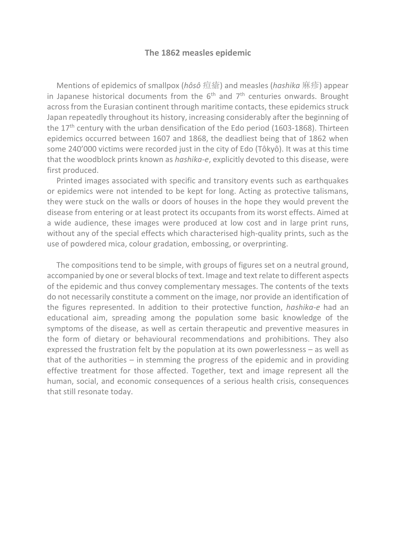#### **The 1862 measles epidemic**

Mentions of epidemics of smallpox (*hôsô* 痘瘡) and measles (*hashika* 麻疹) appear in Japanese historical documents from the  $6<sup>th</sup>$  and  $7<sup>th</sup>$  centuries onwards. Brought across from the Eurasian continent through maritime contacts, these epidemics struck Japan repeatedly throughout its history, increasing considerably after the beginning of the  $17<sup>th</sup>$  century with the urban densification of the Edo period (1603-1868). Thirteen epidemics occurred between 1607 and 1868, the deadliest being that of 1862 when some 240'000 victims were recorded just in the city of Edo (Tôkyô). It was at this time that the woodblock prints known as *hashika-e*, explicitly devoted to this disease, were first produced.

Printed images associated with specific and transitory events such as earthquakes or epidemics were not intended to be kept for long. Acting as protective talismans, they were stuck on the walls or doors of houses in the hope they would prevent the disease from entering or at least protect its occupants from its worst effects. Aimed at a wide audience, these images were produced at low cost and in large print runs, without any of the special effects which characterised high-quality prints, such as the use of powdered mica, colour gradation, embossing, or overprinting.

The compositions tend to be simple, with groups of figures set on a neutral ground, accompanied by one or several blocks of text. Image and text relate to different aspects of the epidemic and thus convey complementary messages. The contents of the texts do not necessarily constitute a comment on the image, nor provide an identification of the figures represented. In addition to their protective function, *hashika-e* had an educational aim, spreading among the population some basic knowledge of the symptoms of the disease, as well as certain therapeutic and preventive measures in the form of dietary or behavioural recommendations and prohibitions. They also expressed the frustration felt by the population at its own powerlessness – as well as that of the authorities – in stemming the progress of the epidemic and in providing effective treatment for those affected. Together, text and image represent all the human, social, and economic consequences of a serious health crisis, consequences that still resonate today.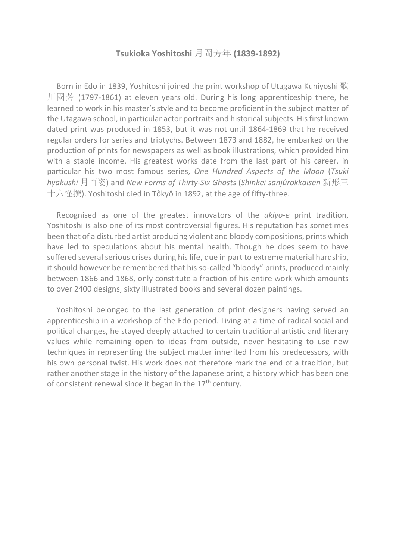#### **Tsukioka Yoshitoshi** 月岡芳年 **(1839-1892)**

Born in Edo in 1839, Yoshitoshi joined the print workshop of Utagawa Kuniyoshi 歌 川國芳 (1797-1861) at eleven years old. During his long apprenticeship there, he learned to work in his master's style and to become proficient in the subject matter of the Utagawa school, in particular actor portraits and historical subjects. His first known dated print was produced in 1853, but it was not until 1864-1869 that he received regular orders for series and triptychs. Between 1873 and 1882, he embarked on the production of prints for newspapers as well as book illustrations, which provided him with a stable income. His greatest works date from the last part of his career, in particular his two most famous series, *One Hundred Aspects of the Moon* (*Tsuki hyakushi* 月百姿) and *New Forms of Thirty-Six Ghosts* (*Shinkei sanjûrokkaisen* 新形三 十六怪撰). Yoshitoshi died in Tôkyô in 1892, at the age of fifty-three.

Recognised as one of the greatest innovators of the *ukiyo-e* print tradition, Yoshitoshi is also one of its most controversial figures. His reputation has sometimes been that of a disturbed artist producing violent and bloody compositions, prints which have led to speculations about his mental health. Though he does seem to have suffered several serious crises during his life, due in part to extreme material hardship, it should however be remembered that his so-called "bloody" prints, produced mainly between 1866 and 1868, only constitute a fraction of his entire work which amounts to over 2400 designs, sixty illustrated books and several dozen paintings.

Yoshitoshi belonged to the last generation of print designers having served an apprenticeship in a workshop of the Edo period. Living at a time of radical social and political changes, he stayed deeply attached to certain traditional artistic and literary values while remaining open to ideas from outside, never hesitating to use new techniques in representing the subject matter inherited from his predecessors, with his own personal twist. His work does not therefore mark the end of a tradition, but rather another stage in the history of the Japanese print, a history which has been one of consistent renewal since it began in the  $17<sup>th</sup>$  century.